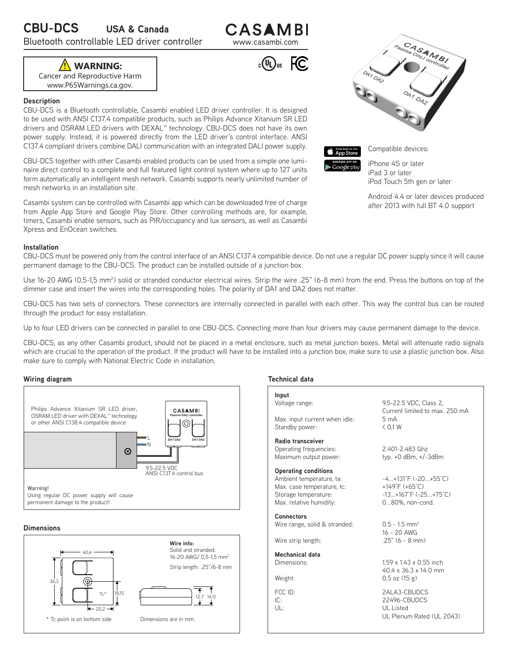Bluetooth controllable LED driver controller www.casambi.com

CASAMBI

 $_{c}$ (U<sub>L</sub>)<sub>us</sub>  $FC$ 

Cancer and Reproductive Harm **! WARNING:**

www.P65Warnings.ca.gov.

# **Description**

CBU-DCS is a Bluetooth controllable, Casambi enabled LED driver controller. It is designed to be used with ANSI C137.4 compatible products, such as Philips Advance Xitanium SR LED drivers and OSRAM LED drivers with DEXAL™ technology. CBU-DCS does not have its own power supply. Instead, it is powered directly from the LED driver's control interface. ANSI C137.4 compliant drivers combine DALI communication with an integrated DALI power supply.

CBU-DCS together with other Casambi enabled products can be used from a simple one luminaire direct control to a complete and full featured light control system where up to 127 units form automatically an intelligent mesh network. Casambi supports nearly unlimited number of mesh networks in an installation site.

Casambi system can be controlled with Casambi app which can be downloaded free of charge from Apple App Store and Google Play Store. Other controlling methods are, for example, timers, Casambi enable sensors, such as PIR/occupancy and lux sensors, as well as Casambi Xpress and EnOcean switches.

# **Installation**

CBU-DCS must be powered only from the control interface of an ANSI C137.4 compatible device. Do not use a regular DC power supply since it will cause permanent damage to the CBU-DCS. The product can be installed outside of a junction box.

Use 16-20 AWG (0,5-1,5 mm<sup>2</sup>) solid or stranded conductor electrical wires. Strip the wire .25" (6-8 mm) from the end. Press the buttons on top of the dimmer case and insert the wires into the corresponding holes. The polarity of DA1 and DA2 does not matter.

CBU-DCS has two sets of connectors. These connectors are internally connected in parallel with each other. This way the control bus can be routed through the product for easy installation.

Up to four LED drivers can be connected in parallel to one CBU-DCS. Connecting more than four drivers may cause permanent damage to the device.

CBU-DCS, as any other Casambi product, should not be placed in a metal enclosure, such as metal junction boxes. Metal will attenuate radio signals which are crucial to the operation of the product. If the product will have to be installed into a junction box, make sure to use a plastic junction box. Also make sure to comply with National Electric Code in installation.

# **Wiring diagram Technical data**



# **Dimensions**



**Input** Voltage range: Max. input current when idle: Standby power: **Radio transceiver** Operating frequencies: Maximum output power: **Operating conditions** Ambient temperature, ta: Max. case temperature, tc: Storage temperature: Max. relative humidity: **Connectors** Wire range, solid & stranded: Wire strip length: **Mechanical data** Dimensions: Weight: FCC ID: IC:  $||$   $||$   $\cdot$ 9.5-22.5 VDC, Class 2, Current limited to max. 250 mA 5 mA < 0,1 W 2.401-2.483 Ghz typ. +0 dBm, +/-3dBm -4...+131°F (-20...+55°C) +149°F (+65°C) -13...+167°F (-25...+75°C) 0...80%, non-cond.  $0.5 - 1.5$  mm<sup>2</sup> 16 - 20 AWG .25" (6 - 8 mm) 1.59 x 1.43 x 0.55 inch 40.4 x 36.3 x 14.0 mm 0.5 oz (15 g) 2ALA3-CBUDCS 22496-CBUDCS UL Listed UL Plenum Rated (UL 2043)





Compatible devices:

iPhone 4S or later iPad 3 or later iPod Touch 5th gen or later

Android 4.4 or later devices produced after 2013 with full BT 4.0 support